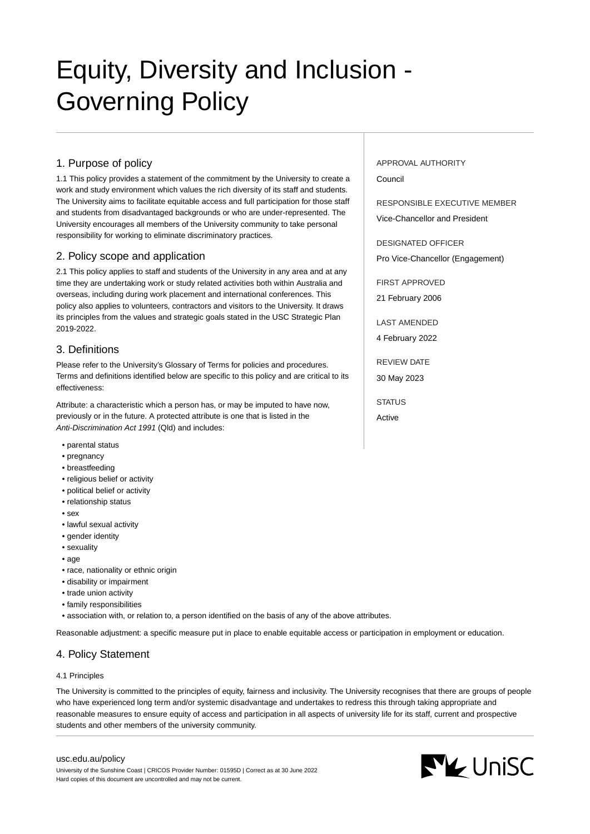# Equity, Diversity and Inclusion - Governing Policy

## 1. Purpose of policy

1.1 This policy provides a statement of the commitment by the University to create a work and study environment which values the rich diversity of its staff and students. The University aims to facilitate equitable access and full participation for those staff and students from disadvantaged backgrounds or who are under-represented. The University encourages all members of the University community to take personal responsibility for working to eliminate discriminatory practices.

## 2. Policy scope and application

2.1 This policy applies to staff and students of the University in any area and at any time they are undertaking work or study related activities both within Australia and overseas, including during work placement and international conferences. This policy also applies to volunteers, contractors and visitors to the University. It draws its principles from the values and strategic goals stated in the USC Strategic Plan 2019-2022.

## 3. Definitions

Please refer to the University's Glossary of Terms for policies and procedures. Terms and definitions identified below are specific to this policy and are critical to its effectiveness:

Attribute: a characteristic which a person has, or may be imputed to have now, previously or in the future. A protected attribute is one that is listed in the Anti-Discrimination Act 1991 (Qld) and includes:

- parental status
- pregnancy
- breastfeeding
- religious belief or activity
- political belief or activity
- relationship status
- sex
- lawful sexual activity
- gender identity
- sexuality
- age
- race, nationality or ethnic origin
- disability or impairment
- trade union activity
- family responsibilities

• association with, or relation to, a person identified on the basis of any of the above attributes.

Reasonable adjustment: a specific measure put in place to enable equitable access or participation in employment or education.

# 4. Policy Statement

## 4.1 Principles

The University is committed to the principles of equity, fairness and inclusivity. The University recognises that there are groups of people who have experienced long term and/or systemic disadvantage and undertakes to redress this through taking appropriate and reasonable measures to ensure equity of access and participation in all aspects of university life for its staff, current and prospective students and other members of the university community.

#### [usc.edu.au/policy](https://www.usc.edu.au/policy)

University of the Sunshine Coast | CRICOS Provider Number: 01595D | Correct as at 30 June 2022 Hard copies of this document are uncontrolled and may not be current.

APPROVAL AUTHORITY Council

RESPONSIBLE EXECUTIVE MEMBER

Vice-Chancellor and President

DESIGNATED OFFICER Pro Vice-Chancellor (Engagement)

FIRST APPROVED 21 February 2006

LAST AMENDED

4 February 2022

REVIEW DATE 30 May 2023

STATUS Active

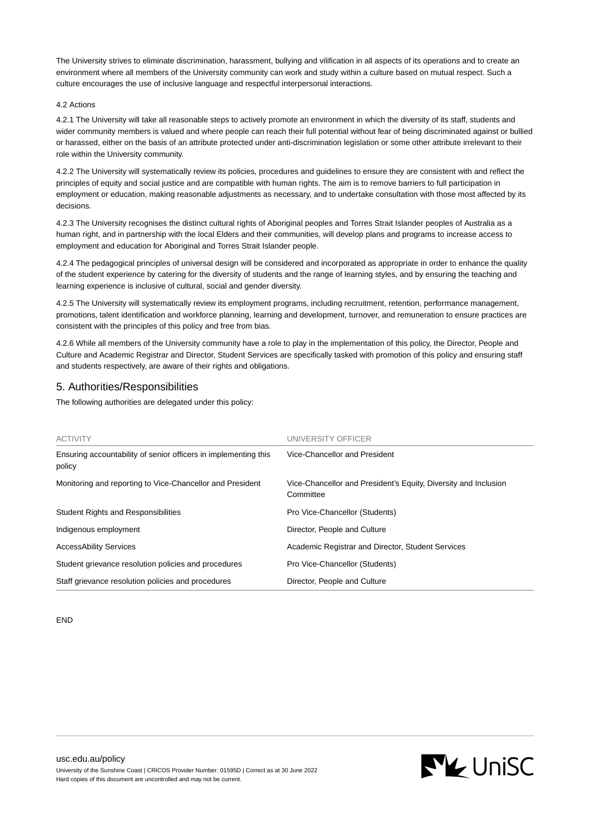The University strives to eliminate discrimination, harassment, bullying and vilification in all aspects of its operations and to create an environment where all members of the University community can work and study within a culture based on mutual respect. Such a culture encourages the use of inclusive language and respectful interpersonal interactions.

#### 4.2 Actions

4.2.1 The University will take all reasonable steps to actively promote an environment in which the diversity of its staff, students and wider community members is valued and where people can reach their full potential without fear of being discriminated against or bullied or harassed, either on the basis of an attribute protected under anti-discrimination legislation or some other attribute irrelevant to their role within the University community.

4.2.2 The University will systematically review its policies, procedures and guidelines to ensure they are consistent with and reflect the principles of equity and social justice and are compatible with human rights. The aim is to remove barriers to full participation in employment or education, making reasonable adjustments as necessary, and to undertake consultation with those most affected by its decisions.

4.2.3 The University recognises the distinct cultural rights of Aboriginal peoples and Torres Strait Islander peoples of Australia as a human right, and in partnership with the local Elders and their communities, will develop plans and programs to increase access to employment and education for Aboriginal and Torres Strait Islander people.

4.2.4 The pedagogical principles of universal design will be considered and incorporated as appropriate in order to enhance the quality of the student experience by catering for the diversity of students and the range of learning styles, and by ensuring the teaching and learning experience is inclusive of cultural, social and gender diversity.

4.2.5 The University will systematically review its employment programs, including recruitment, retention, performance management, promotions, talent identification and workforce planning, learning and development, turnover, and remuneration to ensure practices are consistent with the principles of this policy and free from bias.

4.2.6 While all members of the University community have a role to play in the implementation of this policy, the Director, People and Culture and Academic Registrar and Director, Student Services are specifically tasked with promotion of this policy and ensuring staff and students respectively, are aware of their rights and obligations.

## 5. Authorities/Responsibilities

The following authorities are delegated under this policy:

| <b>ACTIVITY</b>                                                           | UNIVERSITY OFFICER                                                           |
|---------------------------------------------------------------------------|------------------------------------------------------------------------------|
| Ensuring accountability of senior officers in implementing this<br>policy | Vice-Chancellor and President                                                |
| Monitoring and reporting to Vice-Chancellor and President                 | Vice-Chancellor and President's Equity, Diversity and Inclusion<br>Committee |
| <b>Student Rights and Responsibilities</b>                                | Pro Vice-Chancellor (Students)                                               |
| Indigenous employment                                                     | Director, People and Culture                                                 |
| <b>AccessAbility Services</b>                                             | Academic Registrar and Director, Student Services                            |
| Student grievance resolution policies and procedures                      | Pro Vice-Chancellor (Students)                                               |
| Staff grievance resolution policies and procedures                        | Director, People and Culture                                                 |